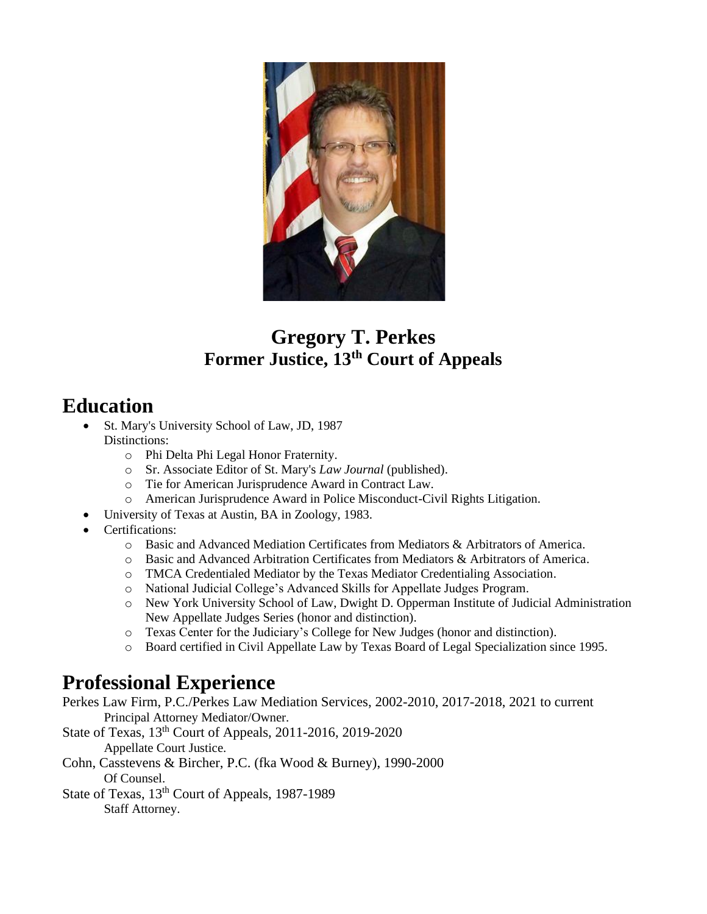

## **Gregory T. Perkes Former Justice, 13th Court of Appeals**

## **Education**

- St. Mary's University School of Law, JD, 1987 Distinctions:
	- o Phi Delta Phi Legal Honor Fraternity.
	- o Sr. Associate Editor of St. Mary's *Law Journal* (published).
	- o Tie for American Jurisprudence Award in Contract Law.
	- o American Jurisprudence Award in Police Misconduct-Civil Rights Litigation.
- University of Texas at Austin, BA in Zoology, 1983.
- Certifications:
	- o Basic and Advanced Mediation Certificates from Mediators & Arbitrators of America.
	- o Basic and Advanced Arbitration Certificates from Mediators & Arbitrators of America.
	- o TMCA Credentialed Mediator by the Texas Mediator Credentialing Association.
	- o National Judicial College's Advanced Skills for Appellate Judges Program.
	- o New York University School of Law, Dwight D. Opperman Institute of Judicial Administration New Appellate Judges Series (honor and distinction).
	- o Texas Center for the Judiciary's College for New Judges (honor and distinction).
	- o Board certified in Civil Appellate Law by Texas Board of Legal Specialization since 1995.

## **Professional Experience**

- Perkes Law Firm, P.C./Perkes Law Mediation Services, 2002-2010, 2017-2018, 2021 to current Principal Attorney Mediator/Owner.
- State of Texas, 13th Court of Appeals, 2011-2016, 2019-2020 Appellate Court Justice.
- Cohn, Casstevens & Bircher, P.C. (fka Wood & Burney), 1990-2000 Of Counsel.
- State of Texas, 13<sup>th</sup> Court of Appeals, 1987-1989

Staff Attorney.